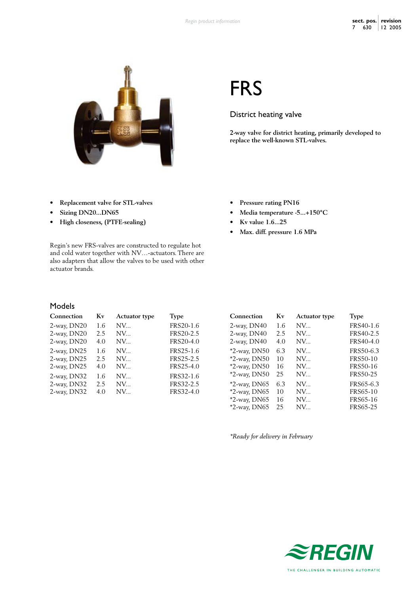

# FRS

## District heating valve

**• Pressure rating PN16**

**• Kv value 1.6...25**

**• Max. diff. pressure 1.6 MPa**

**• Media temperature -5...+150°C**

**2-way valve for district heating, primarily developed to replace the well-known STL-valves.**

- **• Replacement valve for STL-valves**
- **• Sizing DN20...DN65**
- **• High closeness, (PTFE-sealing)**

Regin's new FRS-valves are constructed to regulate hot and cold water together with NV…-actuators. There are also adapters that allow the valves to be used with other actuator brands.

## Models

| 2-way, DN20<br>1.6<br>NV | FRS20-1.6 |
|--------------------------|-----------|
| 2-way, DN20<br>NV<br>2.5 | FRS20-2.5 |
| 2-way, DN20<br>4.0<br>NV | FRS20-4.0 |
| 2-way, DN25<br>1.6<br>NV | FRS25-1.6 |
| 2-way, DN25<br>NV<br>2.5 | FRS25-2.5 |
| 2-way, DN25<br>4.0<br>NV | FRS25-4.0 |
| 2-way, DN32<br>1.6<br>NV | FRS32-1.6 |
| 2-way, DN32<br>NV<br>2.5 | FRS32-2.5 |
| 2-way, DN32<br>4.0<br>NV | FRS32-4.0 |

| Connection      | Kv  | <b>Actuator type</b> | <b>Type</b>     |
|-----------------|-----|----------------------|-----------------|
| 2-way, DN40     | 1.6 | $NV_{\cdots}$        | FRS40-1.6       |
| 2-way, DN40     | 2.5 | NV                   | FRS40-2.5       |
| 2-way, DN40     | 4.0 | NV                   | FRS40-4.0       |
| $*2$ -way, DN50 | 6.3 | NV                   | FRS50-6.3       |
| *2-way, DN50    | 10  | NV                   | <b>FRS50-10</b> |
| $*2$ -way, DN50 | 16  | NV                   | FRS50-16        |
| $*2$ -way, DN50 | 25  | NV                   | FRS50-25        |
| $*2$ -way, DN65 | 6.3 | NV                   | FRS65-6.3       |
| $*2$ -way, DN65 | 10  | NV                   | FRS65-10        |
| $*2$ -way, DN65 | 16  | NV                   | FRS65-16        |
| *2-way, DN65    | 25  | NV                   | FRS65-25        |

*\*Ready for delivery in February*